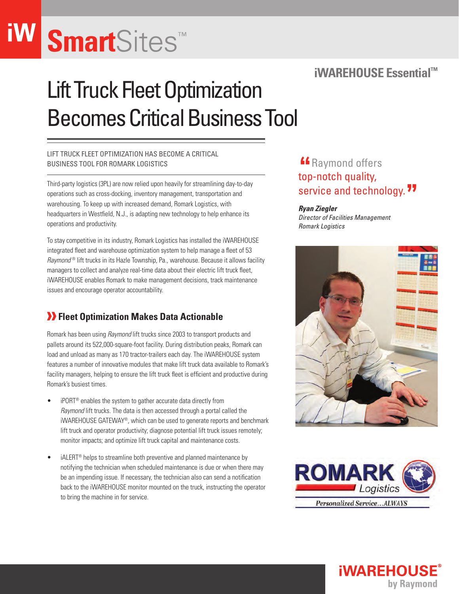## **Smart**Sites™

### **iWAREHOUSE Essential™**

## Lift Truck Fleet Optimization Becomes Critical Business Tool

#### Lift truck fleet optimization has become a critical business tool for Romark Logistics

Third-party logistics (3PL) are now relied upon heavily for streamlining day-to-day operations such as cross-docking, inventory management, transportation and warehousing. To keep up with increased demand, Romark Logistics, with headquarters in Westfield, N.J., is adapting new technology to help enhance its operations and productivity.

To stay competitive in its industry, Romark Logistics has installed the iWAREHOUSE integrated fleet and warehouse optimization system to help manage a fleet of 53 *Raymond* ® lift trucks in its Hazle Township, Pa., warehouse. Because it allows facility managers to collect and analyze real-time data about their electric lift truck fleet, iWAREHOUSE enables Romark to make management decisions, track maintenance issues and encourage operator accountability.

#### *T* Fleet Optimization Makes Data Actionable

Romark has been using *Raymond* lift trucks since 2003 to transport products and pallets around its 522,000-square-foot facility. During distribution peaks, Romark can load and unload as many as 170 tractor-trailers each day. The iWAREHOUSE system features a number of innovative modules that make lift truck data available to Romark's facility managers, helping to ensure the lift truck fleet is efficient and productive during Romark's busiest times.

- iPORT<sup>®</sup> enables the system to gather accurate data directly from *Raymond* lift trucks. The data is then accessed through a portal called the iWAREHOUSE GATEWAY®, which can be used to generate reports and benchmark lift truck and operator productivity; diagnose potential lift truck issues remotely; monitor impacts; and optimize lift truck capital and maintenance costs.
- $\bullet$  iALERT<sup>®</sup> helps to streamline both preventive and planned maintenance by notifying the technician when scheduled maintenance is due or when there may be an impending issue. If necessary, the technician also can send a notification back to the iWAREHOUSE monitor mounted on the truck, instructing the operator to bring the machine in for service.

## **""** Raymond offers top-notch quality, service and technology.<sup>77</sup>

#### *Ryan Ziegler*

*Director of Facilities Management Romark Logistics*





**iWAREHOUS** 

by Raymond